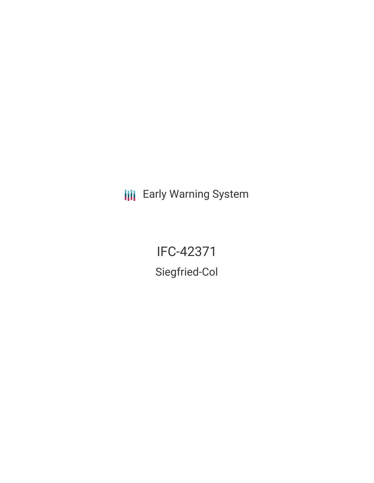**III** Early Warning System

IFC-42371 Siegfried-Col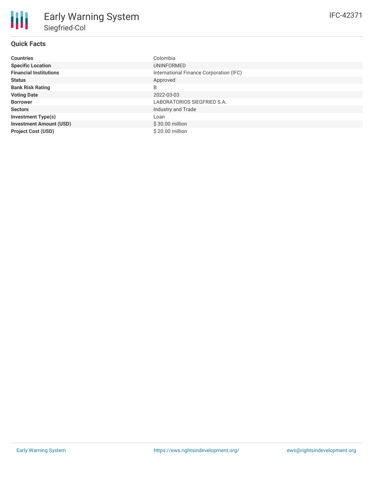## **Quick Facts**

| <b>Countries</b>               | Colombia                                |
|--------------------------------|-----------------------------------------|
| <b>Specific Location</b>       | <b>UNINFORMED</b>                       |
| <b>Financial Institutions</b>  | International Finance Corporation (IFC) |
| <b>Status</b>                  | Approved                                |
| <b>Bank Risk Rating</b>        | B                                       |
| <b>Voting Date</b>             | 2022-03-03                              |
| <b>Borrower</b>                | LABORATORIOS SIEGFRIED S.A.             |
| <b>Sectors</b>                 | Industry and Trade                      |
| <b>Investment Type(s)</b>      | Loan                                    |
| <b>Investment Amount (USD)</b> | $$30.00$ million                        |
| <b>Project Cost (USD)</b>      | \$20.00 million                         |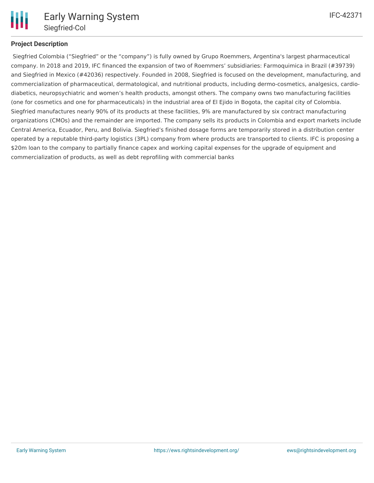

## **Project Description**

Siegfried Colombia ("Siegfried" or the "company") is fully owned by Grupo Roemmers, Argentina's largest pharmaceutical company. In 2018 and 2019, IFC financed the expansion of two of Roemmers' subsidiaries: Farmoquimica in Brazil (#39739) and Siegfried in Mexico (#42036) respectively. Founded in 2008, Siegfried is focused on the development, manufacturing, and commercialization of pharmaceutical, dermatological, and nutritional products, including dermo-cosmetics, analgesics, cardiodiabetics, neuropsychiatric and women's health products, amongst others. The company owns two manufacturing facilities (one for cosmetics and one for pharmaceuticals) in the industrial area of El Ejido in Bogota, the capital city of Colombia. Siegfried manufactures nearly 90% of its products at these facilities, 9% are manufactured by six contract manufacturing organizations (CMOs) and the remainder are imported. The company sells its products in Colombia and export markets include Central America, Ecuador, Peru, and Bolivia. Siegfried's finished dosage forms are temporarily stored in a distribution center operated by a reputable third-party logistics (3PL) company from where products are transported to clients. IFC is proposing a \$20m loan to the company to partially finance capex and working capital expenses for the upgrade of equipment and commercialization of products, as well as debt reprofiling with commercial banks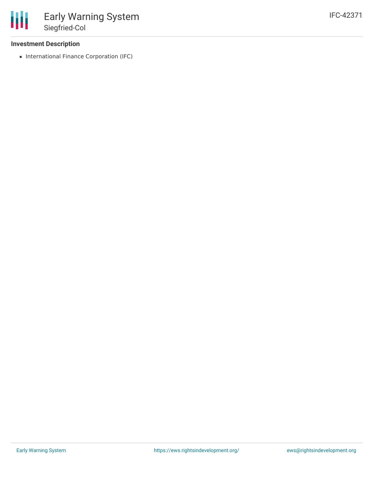## **Investment Description**

• International Finance Corporation (IFC)